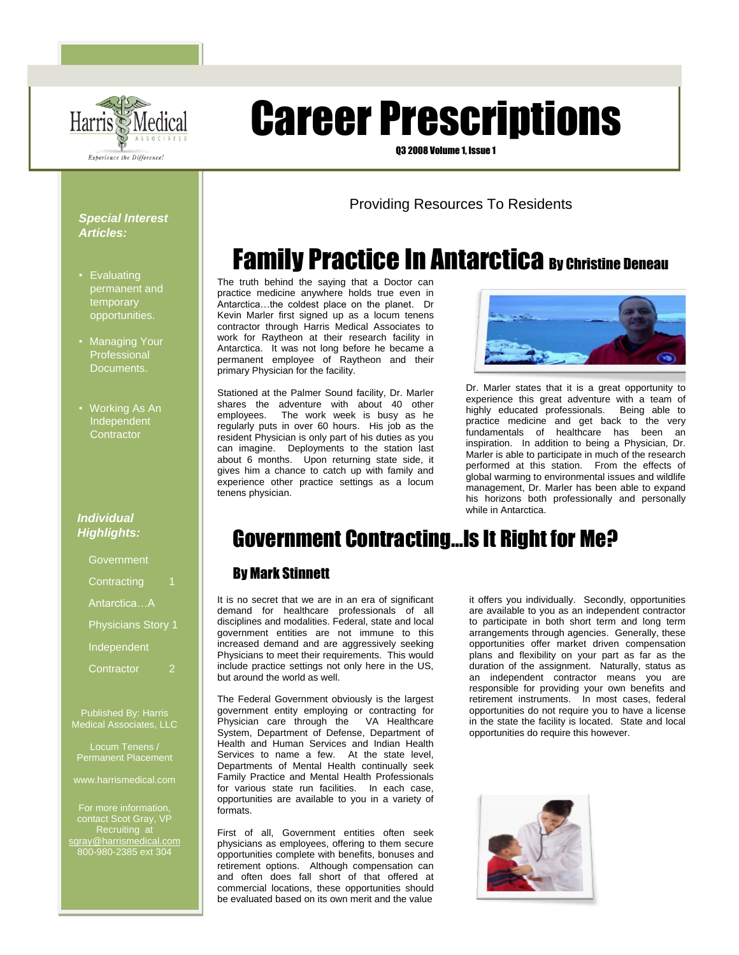

# Career Prescriptions

Q3 2008 Volume 1, Issue 1

### Providing Resources To Residents

# **Family Practice In Antarctica By Christine Deneau**

The truth behind the saying that a Doctor can practice medicine anywhere holds true even in Antarctica…the coldest place on the planet. Dr Kevin Marler first signed up as a locum tenens contractor through Harris Medical Associates to work for Raytheon at their research facility in Antarctica. It was not long before he became a permanent employee of Raytheon and their primary Physician for the facility.

Stationed at the Palmer Sound facility, Dr. Marler shares the adventure with about 40 other employees. The work week is busy as he regularly puts in over 60 hours. His job as the resident Physician is only part of his duties as you can imagine. Deployments to the station last about 6 months. Upon returning state side, it gives him a chance to catch up with family and experience other practice settings as a locum tenens physician.



Dr. Marler states that it is a great opportunity to experience this great adventure with a team of highly educated professionals. Being able to practice medicine and get back to the very fundamentals of healthcare has been an inspiration. In addition to being a Physician, Dr. Marler is able to participate in much of the research performed at this station. From the effects of global warming to environmental issues and wildlife management, Dr. Marler has been able to expand his horizons both professionally and personally while in Antarctica.

# Government Contracting…Is It Right for Me?

#### By Mark Stinnett

It is no secret that we are in an era of significant demand for healthcare professionals of all disciplines and modalities. Federal, state and local government entities are not immune to this increased demand and are aggressively seeking Physicians to meet their requirements. This would include practice settings not only here in the US, but around the world as well.

The Federal Government obviously is the largest government entity employing or contracting for<br>Physician care through the VA Healthcare  $Physician$  care through the System, Department of Defense, Department of Health and Human Services and Indian Health Services to name a few. At the state level, Departments of Mental Health continually seek Family Practice and Mental Health Professionals for various state run facilities. In each case, opportunities are available to you in a variety of formats.

First of all, Government entities often seek physicians as employees, offering to them secure opportunities complete with benefits, bonuses and retirement options. Although compensation can and often does fall short of that offered at commercial locations, these opportunities should be evaluated based on its own merit and the value

it offers you individually. Secondly, opportunities are available to you as an independent contractor to participate in both short term and long term arrangements through agencies. Generally, these opportunities offer market driven compensation plans and flexibility on your part as far as the duration of the assignment. Naturally, status as an independent contractor means you are responsible for providing your own benefits and retirement instruments. In most cases, federal opportunities do not require you to have a license in the state the facility is located. State and local opportunities do require this however.



#### *Special Interest Articles:*

- Evaluating permanent and temporary opportunities.
- Managing Your Professional Documents.
- Working As An Independent **Contractor**

#### *Individual Highlights:*

| Government                |  |
|---------------------------|--|
| Contracting               |  |
| AntarcticaA               |  |
| <b>Physicians Story 1</b> |  |
| Independent               |  |
| Contractor                |  |

Published By: Harris Medical Associates, LLC

Locum Tenens / Permanent Placement

www.harrismedical.com

contact Scot Gray, VP Recruiting at [sgray@harrismedical.com](mailto:sgray@harrismedical.com) 800-980-2385 ext 304